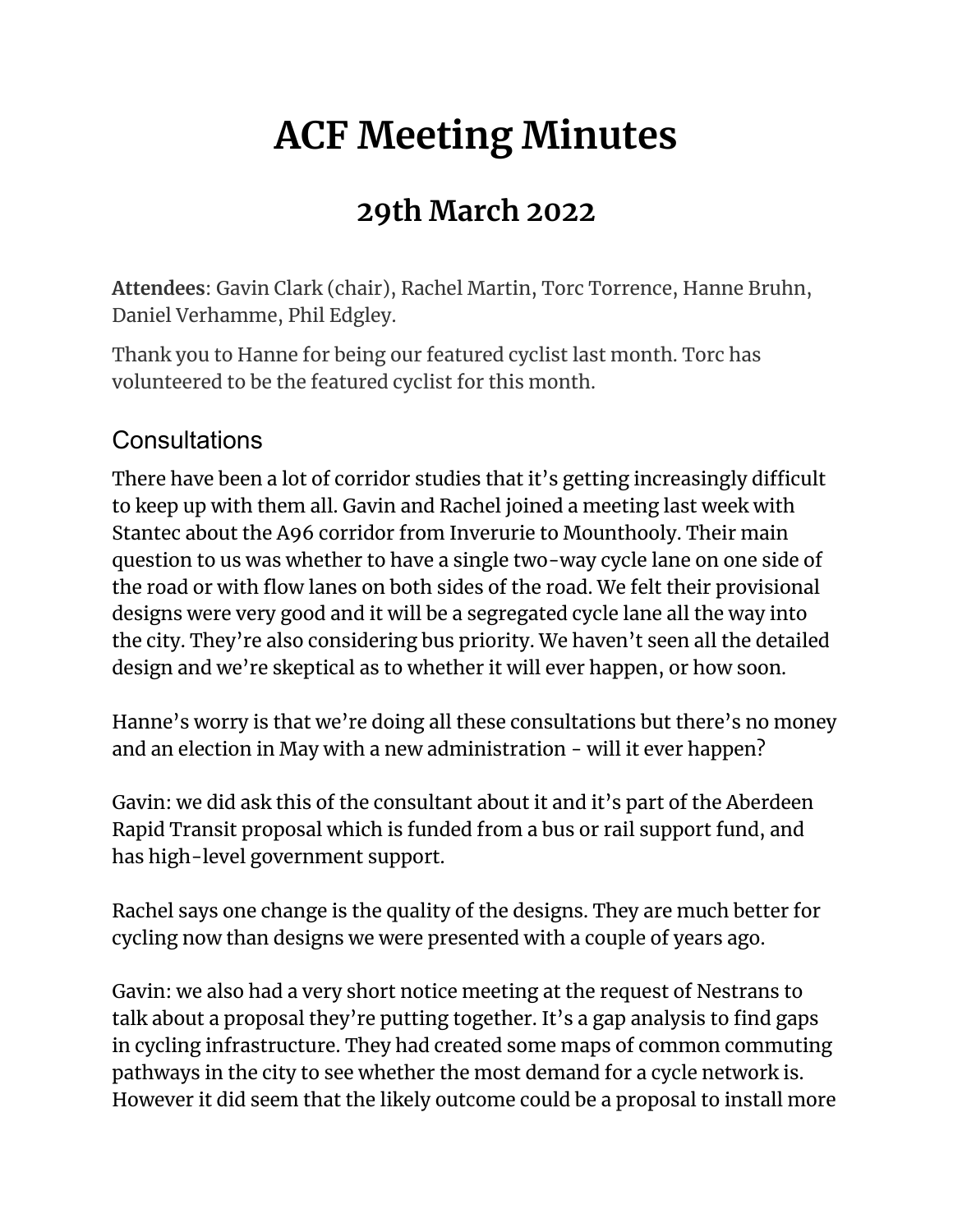# **ACF Meeting Minutes**

# **29th March 2022**

**Attendees**: Gavin Clark (chair), Rachel Martin, Torc Torrence, Hanne Bruhn, Daniel Verhamme, Phil Edgley.

Thank you to Hanne for being our featured cyclist last month. Torc has volunteered to be the featured cyclist for this month.

#### **Consultations**

There have been a lot of corridor studies that it's getting increasingly difficult to keep up with them all. Gavin and Rachel joined a meeting last week with Stantec about the A96 corridor from Inverurie to Mounthooly. Their main question to us was whether to have a single two-way cycle lane on one side of the road or with flow lanes on both sides of the road. We felt their provisional designs were very good and it will be a segregated cycle lane all the way into the city. They're also considering bus priority. We haven't seen all the detailed design and we're skeptical as to whether it will ever happen, or how soon.

Hanne's worry is that we're doing all these consultations but there's no money and an election in May with a new administration - will it ever happen?

Gavin: we did ask this of the consultant about it and it's part of the Aberdeen Rapid Transit proposal which is funded from a bus or rail support fund, and has high-level government support.

Rachel says one change is the quality of the designs. They are much better for cycling now than designs we were presented with a couple of years ago.

Gavin: we also had a very short notice meeting at the request of Nestrans to talk about a proposal they're putting together. It's a gap analysis to find gaps in cycling infrastructure. They had created some maps of common commuting pathways in the city to see whether the most demand for a cycle network is. However it did seem that the likely outcome could be a proposal to install more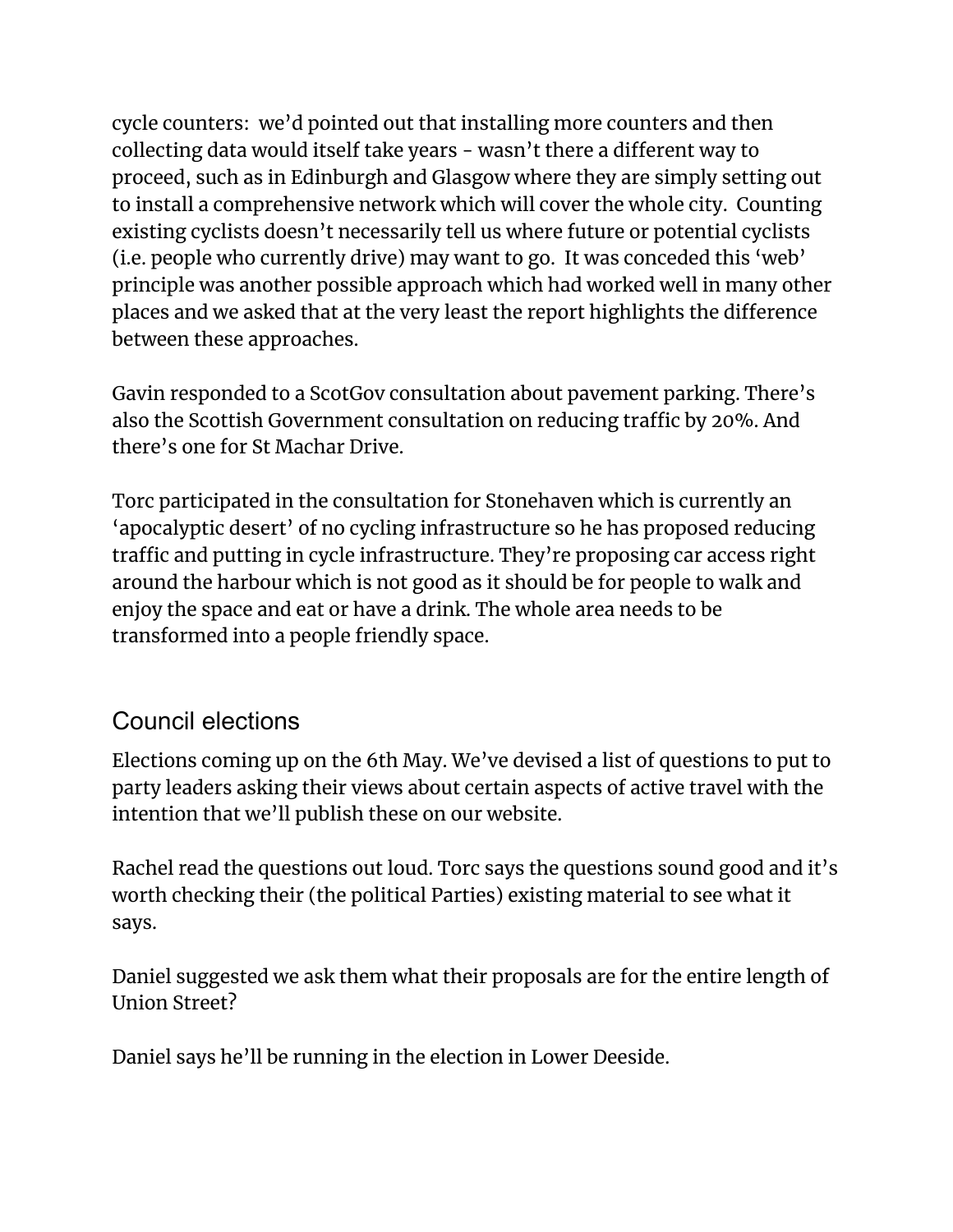cycle counters: we'd pointed out that installing more counters and then collecting data would itself take years - wasn't there a different way to proceed, such as in Edinburgh and Glasgow where they are simply setting out to install a comprehensive network which will cover the whole city. Counting existing cyclists doesn't necessarily tell us where future or potential cyclists (i.e. people who currently drive) may want to go. It was conceded this 'web' principle was another possible approach which had worked well in many other places and we asked that at the very least the report highlights the difference between these approaches.

Gavin responded to a ScotGov consultation about pavement parking. There's also the Scottish Government consultation on reducing traffic by 20%. And there's one for St Machar Drive.

Torc participated in the consultation for Stonehaven which is currently an 'apocalyptic desert' of no cycling infrastructure so he has proposed reducing traffic and putting in cycle infrastructure. They're proposing car access right around the harbour which is not good as it should be for people to walk and enjoy the space and eat or have a drink. The whole area needs to be transformed into a people friendly space.

#### Council elections

Elections coming up on the 6th May. We've devised a list of questions to put to party leaders asking their views about certain aspects of active travel with the intention that we'll publish these on our website.

Rachel read the questions out loud. Torc says the questions sound good and it's worth checking their (the political Parties) existing material to see what it says.

Daniel suggested we ask them what their proposals are for the entire length of Union Street?

Daniel says he'll be running in the election in Lower Deeside.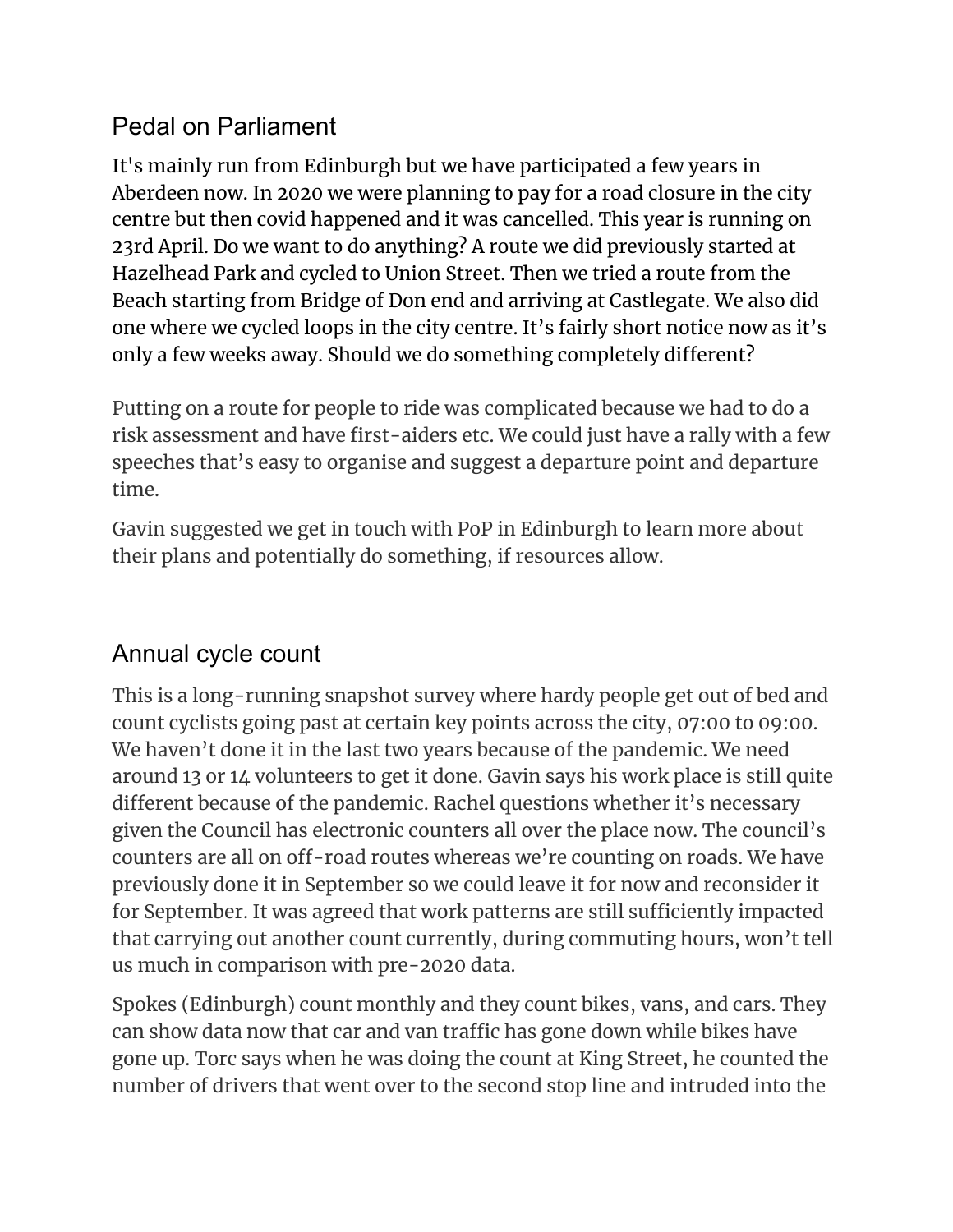#### Pedal on Parliament

It's mainly run from Edinburgh but we have participated a few years in Aberdeen now. In 2020 we were planning to pay for a road closure in the city centre but then covid happened and it was cancelled. This year is running on 23rd April. Do we want to do anything? A route we did previously started at Hazelhead Park and cycled to Union Street. Then we tried a route from the Beach starting from Bridge of Don end and arriving at Castlegate. We also did one where we cycled loops in the city centre. It's fairly short notice now as it's only a few weeks away. Should we do something completely different?

Putting on a route for people to ride was complicated because we had to do a risk assessment and have first-aiders etc. We could just have a rally with a few speeches that's easy to organise and suggest a departure point and departure time.

Gavin suggested we get in touch with PoP in Edinburgh to learn more about their plans and potentially do something, if resources allow.

#### Annual cycle count

This is a long-running snapshot survey where hardy people get out of bed and count cyclists going past at certain key points across the city, 07:00 to 09:00. We haven't done it in the last two years because of the pandemic. We need around 13 or 14 volunteers to get it done. Gavin says his work place is still quite different because of the pandemic. Rachel questions whether it's necessary given the Council has electronic counters all over the place now. The council's counters are all on off-road routes whereas we're counting on roads. We have previously done it in September so we could leave it for now and reconsider it for September. It was agreed that work patterns are still sufficiently impacted that carrying out another count currently, during commuting hours, won't tell us much in comparison with pre-2020 data.

Spokes (Edinburgh) count monthly and they count bikes, vans, and cars. They can show data now that car and van traffic has gone down while bikes have gone up. Torc says when he was doing the count at King Street, he counted the number of drivers that went over to the second stop line and intruded into the